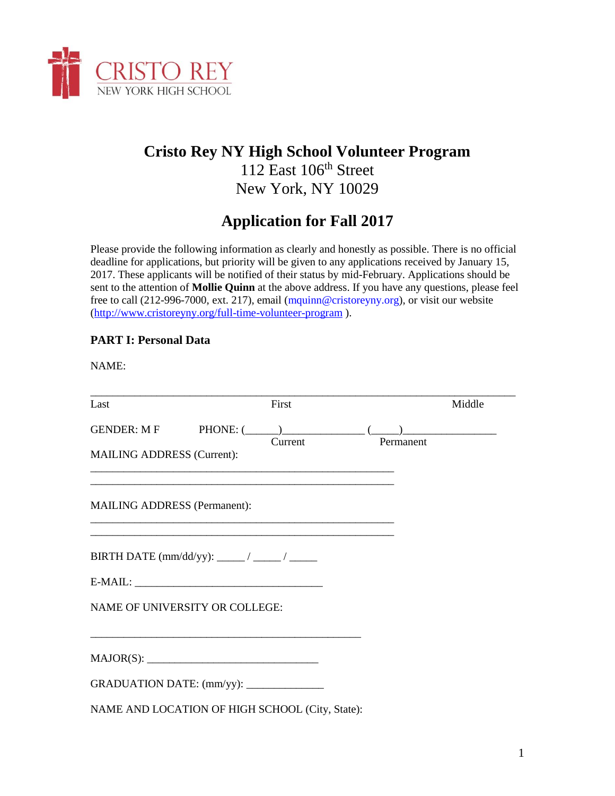

## **Cristo Rey NY High School Volunteer Program**

112 East 106<sup>th</sup> Street New York, NY 10029

# **Application for Fall 2017**

Please provide the following information as clearly and honestly as possible. There is no official deadline for applications, but priority will be given to any applications received by January 15, 2017. These applicants will be notified of their status by mid-February. Applications should be sent to the attention of **Mollie Quinn** at the above address. If you have any questions, please feel free to call (212-996-7000, ext. 217), email (mquinn@cristoreyny.org), or visit our website [\(http://www.cristoreyny.org/full-time-volunteer-program](http://www.cristoreyny.org/full-time-volunteer-program) ).

## **PART I: Personal Data**

NAME:

| Last                                |                                                                                                                        | First   |                                      | Middle |
|-------------------------------------|------------------------------------------------------------------------------------------------------------------------|---------|--------------------------------------|--------|
|                                     |                                                                                                                        |         | GENDER: M F PHONE: $(\_\_)$ $(\_\_)$ |        |
| <b>MAILING ADDRESS (Current):</b>   |                                                                                                                        | Current | Permanent                            |        |
| <b>MAILING ADDRESS (Permanent):</b> |                                                                                                                        |         |                                      |        |
|                                     |                                                                                                                        |         |                                      |        |
|                                     |                                                                                                                        |         |                                      |        |
|                                     | NAME OF UNIVERSITY OR COLLEGE:                                                                                         |         |                                      |        |
|                                     | <u> 1989 - Johann Barn, mars ann an t-Amhainn an t-Amhainn an t-Amhainn an t-Amhainn an t-Amhainn an t-Amhainn an </u> |         |                                      |        |
|                                     | GRADUATION DATE: (mm/yy): ______________                                                                               |         |                                      |        |
|                                     | NAME AND LOCATION OF HIGH SCHOOL (City, State):                                                                        |         |                                      |        |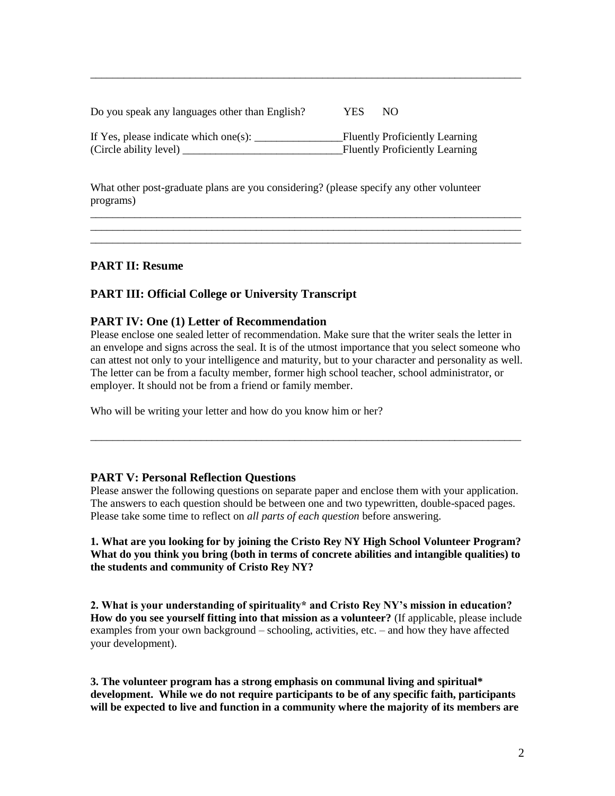| Do you speak any languages other than English? | YES | NO.                                   |
|------------------------------------------------|-----|---------------------------------------|
| If Yes, please indicate which one(s):          |     | <b>Fluently Proficiently Learning</b> |
| (Circle ability level)                         |     | <b>Fluently Proficiently Learning</b> |

\_\_\_\_\_\_\_\_\_\_\_\_\_\_\_\_\_\_\_\_\_\_\_\_\_\_\_\_\_\_\_\_\_\_\_\_\_\_\_\_\_\_\_\_\_\_\_\_\_\_\_\_\_\_\_\_\_\_\_\_\_\_\_\_\_\_\_\_\_\_\_\_\_\_\_\_\_\_

What other post-graduate plans are you considering? (please specify any other volunteer programs)

\_\_\_\_\_\_\_\_\_\_\_\_\_\_\_\_\_\_\_\_\_\_\_\_\_\_\_\_\_\_\_\_\_\_\_\_\_\_\_\_\_\_\_\_\_\_\_\_\_\_\_\_\_\_\_\_\_\_\_\_\_\_\_\_\_\_\_\_\_\_\_\_\_\_\_\_\_\_ \_\_\_\_\_\_\_\_\_\_\_\_\_\_\_\_\_\_\_\_\_\_\_\_\_\_\_\_\_\_\_\_\_\_\_\_\_\_\_\_\_\_\_\_\_\_\_\_\_\_\_\_\_\_\_\_\_\_\_\_\_\_\_\_\_\_\_\_\_\_\_\_\_\_\_\_\_\_ \_\_\_\_\_\_\_\_\_\_\_\_\_\_\_\_\_\_\_\_\_\_\_\_\_\_\_\_\_\_\_\_\_\_\_\_\_\_\_\_\_\_\_\_\_\_\_\_\_\_\_\_\_\_\_\_\_\_\_\_\_\_\_\_\_\_\_\_\_\_\_\_\_\_\_\_\_\_

## **PART II: Resume**

## **PART III: Official College or University Transcript**

#### **PART IV: One (1) Letter of Recommendation**

Please enclose one sealed letter of recommendation. Make sure that the writer seals the letter in an envelope and signs across the seal. It is of the utmost importance that you select someone who can attest not only to your intelligence and maturity, but to your character and personality as well. The letter can be from a faculty member, former high school teacher, school administrator, or employer. It should not be from a friend or family member.

Who will be writing your letter and how do you know him or her?

#### **PART V: Personal Reflection Questions**

Please answer the following questions on separate paper and enclose them with your application. The answers to each question should be between one and two typewritten, double-spaced pages. Please take some time to reflect on *all parts of each question* before answering.

\_\_\_\_\_\_\_\_\_\_\_\_\_\_\_\_\_\_\_\_\_\_\_\_\_\_\_\_\_\_\_\_\_\_\_\_\_\_\_\_\_\_\_\_\_\_\_\_\_\_\_\_\_\_\_\_\_\_\_\_\_\_\_\_\_\_\_\_\_\_\_\_\_\_\_\_\_\_

#### **1. What are you looking for by joining the Cristo Rey NY High School Volunteer Program? What do you think you bring (both in terms of concrete abilities and intangible qualities) to the students and community of Cristo Rey NY?**

**2. What is your understanding of spirituality\* and Cristo Rey NY's mission in education? How do you see yourself fitting into that mission as a volunteer?** (If applicable, please include examples from your own background – schooling, activities, etc. – and how they have affected your development).

**3. The volunteer program has a strong emphasis on communal living and spiritual\* development. While we do not require participants to be of any specific faith, participants will be expected to live and function in a community where the majority of its members are**